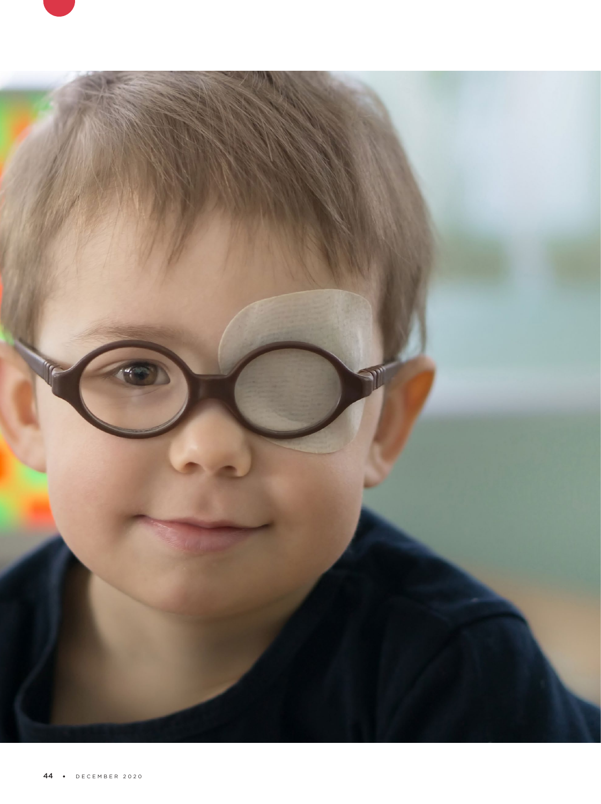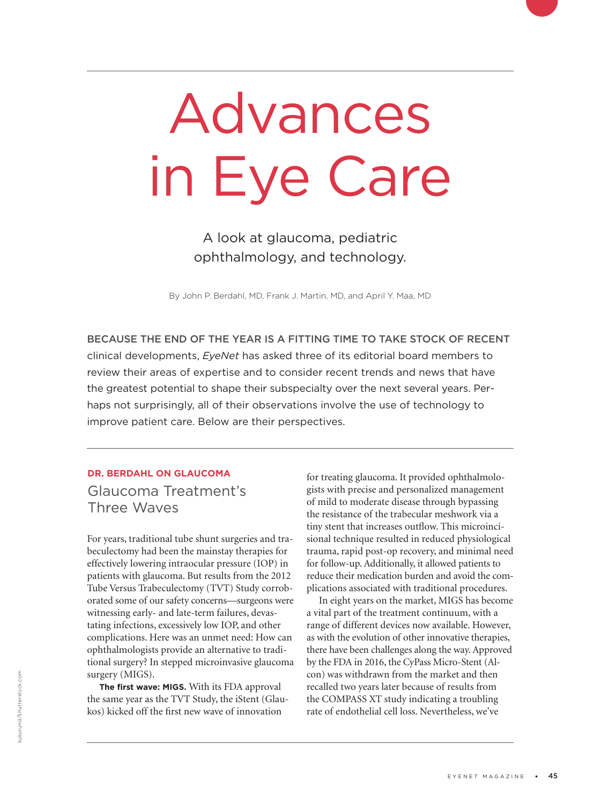# Advances in Eye Care

A look at glaucoma, pediatric ophthalmology, and technology.

By John P. Berdahl, MD, Frank J. Martin, MD, and April Y. Maa, MD

BECAUSE THE END OF THE YEAR IS A FITTING TIME TO TAKE STOCK OF RECENT clinical developments, *EyeNet* has asked three of its editorial board members to review their areas of expertise and to consider recent trends and news that have the greatest potential to shape their subspecialty over the next several years. Perhaps not surprisingly, all of their observations involve the use of technology to improve patient care. Below are their perspectives.

## **DR. BERDAHL ON GLAUCOMA** Glaucoma Treatment's Three Waves

For years, traditional tube shunt surgeries and trabeculectomy had been the mainstay therapies for effectively lowering intraocular pressure (IOP) in patients with glaucoma. But results from the 2012 Tube Versus Trabeculectomy (TVT) Study corroborated some of our safety concerns—surgeons were witnessing early- and late-term failures, devastating infections, excessively low IOP, and other complications. Here was an unmet need: How can ophthalmologists provide an alternative to traditional surgery? In stepped microinvasive glaucoma surgery (MIGS).

**The first wave: MIGS.** With its FDA approval the same year as the TVT Study, the iStent (Glaukos) kicked off the first new wave of innovation

for treating glaucoma. It provided ophthalmologists with precise and personalized management of mild to moderate disease through bypassing the resistance of the trabecular meshwork via a tiny stent that increases outflow. This microincisional technique resulted in reduced physiological trauma, rapid post-op recovery, and minimal need for follow-up. Additionally, it allowed patients to reduce their medication burden and avoid the complications associated with traditional procedures.

In eight years on the market, MIGS has become a vital part of the treatment continuum, with a range of different devices now available. However, as with the evolution of other innovative therapies, there have been challenges along the way. Approved by the FDA in 2016, the CyPass Micro-Stent (Alcon) was withdrawn from the market and then recalled two years later because of results from the COMPASS XT study indicating a troubling rate of endothelial cell loss. Nevertheless, we've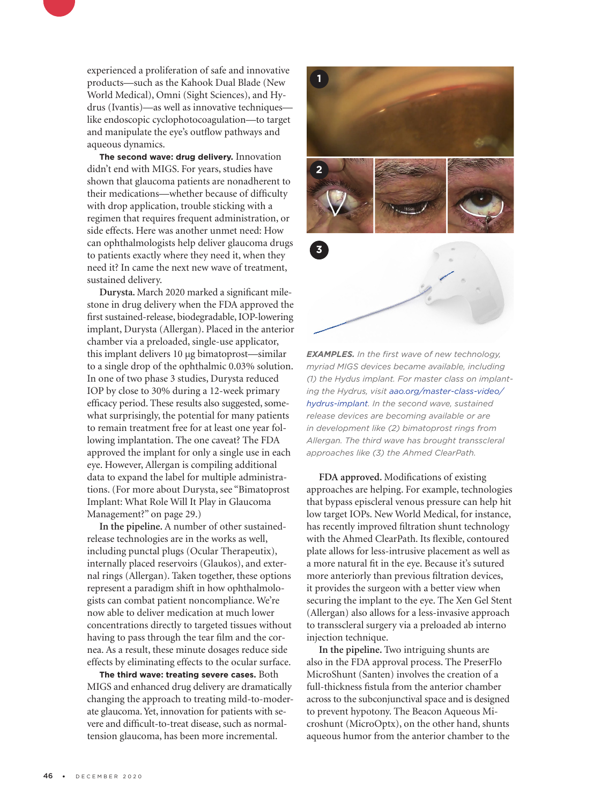experienced a proliferation of safe and innovative products—such as the Kahook Dual Blade (New World Medical), Omni (Sight Sciences), and Hydrus (Ivantis)—as well as innovative techniques like endoscopic cyclophotocoagulation—to target and manipulate the eye's outflow pathways and aqueous dynamics.

**The second wave: drug delivery.** Innovation didn't end with MIGS. For years, studies have shown that glaucoma patients are nonadherent to their medications—whether because of difficulty with drop application, trouble sticking with a regimen that requires frequent administration, or side effects. Here was another unmet need: How can ophthalmologists help deliver glaucoma drugs to patients exactly where they need it, when they need it? In came the next new wave of treatment, sustained delivery.

**Durysta.** March 2020 marked a significant milestone in drug delivery when the FDA approved the first sustained-release, biodegradable, IOP-lowering implant, Durysta (Allergan). Placed in the anterior chamber via a preloaded, single-use applicator, this implant delivers 10 μg bimatoprost—similar to a single drop of the ophthalmic 0.03% solution. In one of two phase 3 studies, Durysta reduced IOP by close to 30% during a 12-week primary efficacy period. These results also suggested, somewhat surprisingly, the potential for many patients to remain treatment free for at least one year following implantation. The one caveat? The FDA approved the implant for only a single use in each eye. However, Allergan is compiling additional data to expand the label for multiple administrations. (For more about Durysta, see "Bimatoprost Implant: What Role Will It Play in Glaucoma Management?" on page 29.)

**In the pipeline.** A number of other sustainedrelease technologies are in the works as well, including punctal plugs (Ocular Therapeutix), internally placed reservoirs (Glaukos), and external rings (Allergan). Taken together, these options represent a paradigm shift in how ophthalmologists can combat patient noncompliance. We're now able to deliver medication at much lower concentrations directly to targeted tissues without having to pass through the tear film and the cornea. As a result, these minute dosages reduce side effects by eliminating effects to the ocular surface.

**The third wave: treating severe cases.** Both MIGS and enhanced drug delivery are dramatically changing the approach to treating mild-to-moderate glaucoma. Yet, innovation for patients with severe and difficult-to-treat disease, such as normaltension glaucoma, has been more incremental.



*EXAMPLES. In the first wave of new technology, myriad MIGS devices became available, including (1) the Hydus implant. For master class on implanting the Hydrus, visit [aao.org/master-class-video/](https://www.aao.org/master-class-video/hydrus-implant) [hydrus-implant](https://www.aao.org/master-class-video/hydrus-implant). In the second wave, sustained release devices are becoming available or are in development like (2) bimatoprost rings from Allergan. The third wave has brought transscleral approaches like (3) the Ahmed ClearPath.*

**FDA approved.** Modifications of existing approaches are helping. For example, technologies that bypass episcleral venous pressure can help hit low target IOPs. New World Medical, for instance, has recently improved filtration shunt technology with the Ahmed ClearPath. Its flexible, contoured plate allows for less-intrusive placement as well as a more natural fit in the eye. Because it's sutured more anteriorly than previous filtration devices, it provides the surgeon with a better view when securing the implant to the eye. The Xen Gel Stent (Allergan) also allows for a less-invasive approach to transscleral surgery via a preloaded ab interno injection technique.

**In the pipeline.** Two intriguing shunts are also in the FDA approval process. The PreserFlo MicroShunt (Santen) involves the creation of a full-thickness fistula from the anterior chamber across to the subconjunctival space and is designed to prevent hypotony. The Beacon Aqueous Microshunt (MicroOptx), on the other hand, shunts aqueous humor from the anterior chamber to the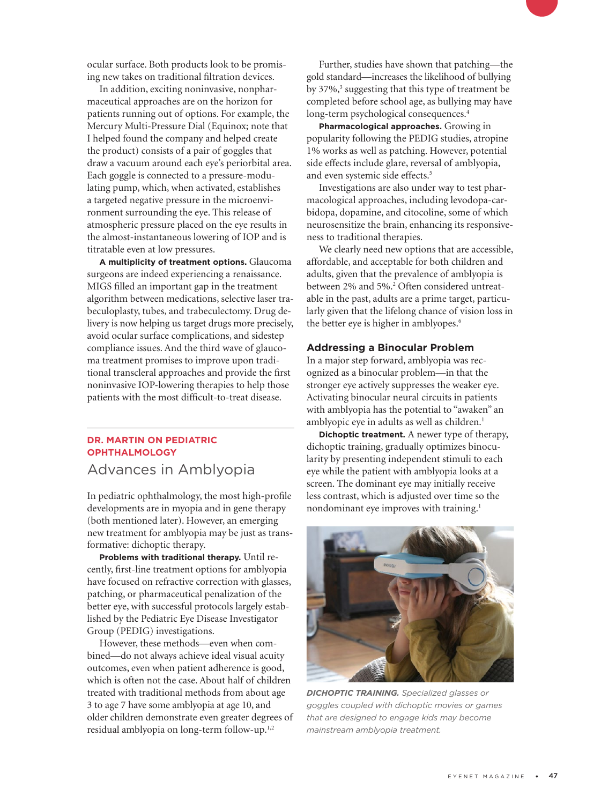ocular surface. Both products look to be promising new takes on traditional filtration devices.

In addition, exciting noninvasive, nonpharmaceutical approaches are on the horizon for patients running out of options. For example, the Mercury Multi-Pressure Dial (Equinox; note that I helped found the company and helped create the product) consists of a pair of goggles that draw a vacuum around each eye's periorbital area. Each goggle is connected to a pressure-modulating pump, which, when activated, establishes a targeted negative pressure in the microenvironment surrounding the eye. This release of atmospheric pressure placed on the eye results in the almost-instantaneous lowering of IOP and is titratable even at low pressures.

**A multiplicity of treatment options.** Glaucoma surgeons are indeed experiencing a renaissance. MIGS filled an important gap in the treatment algorithm between medications, selective laser trabeculoplasty, tubes, and trabeculectomy. Drug delivery is now helping us target drugs more precisely, avoid ocular surface complications, and sidestep compliance issues. And the third wave of glaucoma treatment promises to improve upon traditional transcleral approaches and provide the first noninvasive IOP-lowering therapies to help those patients with the most difficult-to-treat disease.

## **DR. MARTIN ON PEDIATRIC OPHTHALMOLOGY**

Advances in Amblyopia

In pediatric ophthalmology, the most high-profile developments are in myopia and in gene therapy (both mentioned later). However, an emerging new treatment for amblyopia may be just as transformative: dichoptic therapy.

**Problems with traditional therapy.** Until recently, first-line treatment options for amblyopia have focused on refractive correction with glasses, patching, or pharmaceutical penalization of the better eye, with successful protocols largely established by the Pediatric Eye Disease Investigator Group (PEDIG) investigations.

However, these methods—even when combined—do not always achieve ideal visual acuity outcomes, even when patient adherence is good, which is often not the case. About half of children treated with traditional methods from about age 3 to age 7 have some amblyopia at age 10, and older children demonstrate even greater degrees of residual amblyopia on long-term follow-up.1,2

Further, studies have shown that patching—the gold standard—increases the likelihood of bullying by 37%,<sup>3</sup> suggesting that this type of treatment be completed before school age, as bullying may have long-term psychological consequences.<sup>4</sup>

**Pharmacological approaches.** Growing in popularity following the PEDIG studies, atropine 1% works as well as patching. However, potential side effects include glare, reversal of amblyopia, and even systemic side effects.<sup>5</sup>

Investigations are also under way to test pharmacological approaches, including levodopa-carbidopa, dopamine, and citocoline, some of which neurosensitize the brain, enhancing its responsiveness to traditional therapies.

We clearly need new options that are accessible, affordable, and acceptable for both children and adults, given that the prevalence of amblyopia is between 2% and 5%.2 Often considered untreatable in the past, adults are a prime target, particularly given that the lifelong chance of vision loss in the better eye is higher in amblyopes.<sup>6</sup>

#### **Addressing a Binocular Problem**

In a major step forward, amblyopia was recognized as a binocular problem—in that the stronger eye actively suppresses the weaker eye. Activating binocular neural circuits in patients with amblyopia has the potential to "awaken" an amblyopic eye in adults as well as children.<sup>1</sup>

**Dichoptic treatment.** A newer type of therapy, dichoptic training, gradually optimizes binocularity by presenting independent stimuli to each eye while the patient with amblyopia looks at a screen. The dominant eye may initially receive less contrast, which is adjusted over time so the nondominant eye improves with training.<sup>1</sup>



*DICHOPTIC TRAINING. Specialized glasses or goggles coupled with dichoptic movies or games that are designed to engage kids may become mainstream amblyopia treatment.*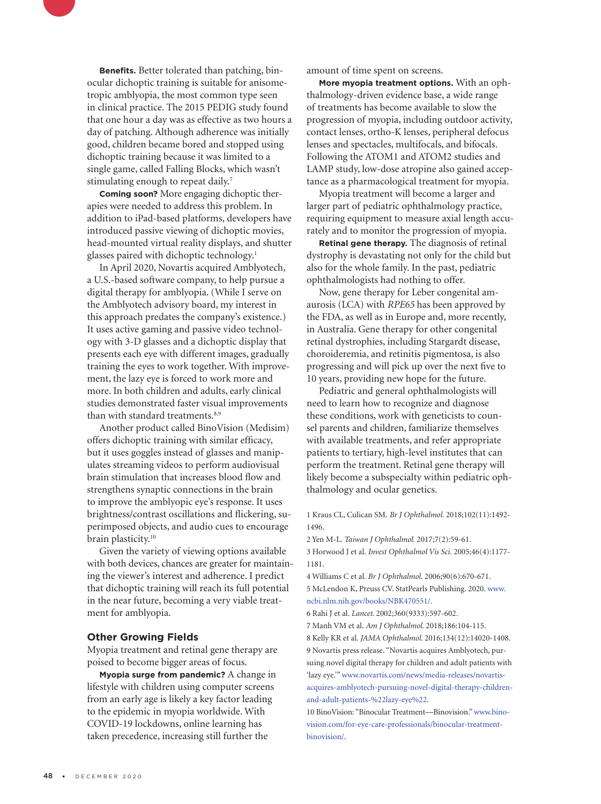**Benefits.** Better tolerated than patching, binocular dichoptic training is suitable for anisometropic amblyopia, the most common type seen in clinical practice. The 2015 PEDIG study found that one hour a day was as effective as two hours a day of patching. Although adherence was initially good, children became bored and stopped using dichoptic training because it was limited to a single game, called Falling Blocks, which wasn't stimulating enough to repeat daily.<sup>7</sup>

**Coming soon?** More engaging dichoptic therapies were needed to address this problem. In addition to iPad-based platforms, developers have introduced passive viewing of dichoptic movies, head-mounted virtual reality displays, and shutter glasses paired with dichoptic technology.<sup>1</sup>

In April 2020, Novartis acquired Amblyotech, a U.S.-based software company, to help pursue a digital therapy for amblyopia. (While I serve on the Amblyotech advisory board, my interest in this approach predates the company's existence.) It uses active gaming and passive video technology with 3-D glasses and a dichoptic display that presents each eye with different images, gradually training the eyes to work together. With improvement, the lazy eye is forced to work more and more. In both children and adults, early clinical studies demonstrated faster visual improvements than with standard treatments.<sup>8,9</sup>

Another product called BinoVision (Medisim) offers dichoptic training with similar efficacy, but it uses goggles instead of glasses and manipulates streaming videos to perform audiovisual brain stimulation that increases blood flow and strengthens synaptic connections in the brain to improve the amblyopic eye's response. It uses brightness/contrast oscillations and flickering, superimposed objects, and audio cues to encourage brain plasticity.<sup>10</sup>

Given the variety of viewing options available with both devices, chances are greater for maintaining the viewer's interest and adherence. I predict that dichoptic training will reach its full potential in the near future, becoming a very viable treatment for amblyopia.

#### **Other Growing Fields**

Myopia treatment and retinal gene therapy are poised to become bigger areas of focus.

**Myopia surge from pandemic?** A change in lifestyle with children using computer screens from an early age is likely a key factor leading to the epidemic in myopia worldwide. With COVID-19 lockdowns, online learning has taken precedence, increasing still further the

amount of time spent on screens.

**More myopia treatment options.** With an ophthalmology-driven evidence base, a wide range of treatments has become available to slow the progression of myopia, including outdoor activity, contact lenses, ortho-K lenses, peripheral defocus lenses and spectacles, multifocals, and bifocals. Following the ATOM1 and ATOM2 studies and LAMP study, low-dose atropine also gained acceptance as a pharmacological treatment for myopia.

Myopia treatment will become a larger and larger part of pediatric ophthalmology practice, requiring equipment to measure axial length accurately and to monitor the progression of myopia.

**Retinal gene therapy.** The diagnosis of retinal dystrophy is devastating not only for the child but also for the whole family. In the past, pediatric ophthalmologists had nothing to offer.

Now, gene therapy for Leber congenital amaurosis (LCA) with *RPE65* has been approved by the FDA, as well as in Europe and, more recently, in Australia. Gene therapy for other congenital retinal dystrophies, including Stargardt disease, choroideremia, and retinitis pigmentosa, is also progressing and will pick up over the next five to 10 years, providing new hope for the future.

Pediatric and general ophthalmologists will need to learn how to recognize and diagnose these conditions, work with geneticists to counsel parents and children, familiarize themselves with available treatments, and refer appropriate patients to tertiary, high-level institutes that can perform the treatment. Retinal gene therapy will likely become a subspecialty within pediatric ophthalmology and ocular genetics.

1 Kraus CL, Culican SM. *Br J Ophthalmol.* 2018;102(11):1492-1496.

2 Yen M-L. *Taiwan J Ophthalmol.* 2017;7(2):59-61.

3 Horwood J et al. *Invest Ophthalmol Vis Sci.* 2005;46(4):1177-1181.

4 Williams C et al. *Br J Ophthalmol.* 2006;90(6):670-671. 5 McLendon K, Preuss CV. StatPearls Publishing. 2020. [www.](https://www.ncbi.nlm.nih.gov/books/NBK470551/) [ncbi.nlm.nih.gov/books/NBK470551/.](https://www.ncbi.nlm.nih.gov/books/NBK470551/)

6 Rahi J et al. *Lancet*. 2002;360(9333):597-602.

7 Manh VM et al. *Am J Ophthalmol.* 2018;186:104-115.

8 Kelly KR et al. *JAMA Ophthalmol.* 2016;134(12):14020-1408. 9 Novartis press release. "Novartis acquires Amblyotech, pursuing novel digital therapy for children and adult patients with 'lazy eye.'" [www.novartis.com/news/media-releases/novartis](https://www.novartis.com/news/media-releases/novartis-acquires-amblyotech-pursuing-novel-digital-therapy-children-and-adult-patients-%22lazy-eye%22)[acquires-amblyotech-pursuing-novel-digital-therapy-children](https://www.novartis.com/news/media-releases/novartis-acquires-amblyotech-pursuing-novel-digital-therapy-children-and-adult-patients-%22lazy-eye%22)[and-adult-patients-%22lazy-eye%22.](https://www.novartis.com/news/media-releases/novartis-acquires-amblyotech-pursuing-novel-digital-therapy-children-and-adult-patients-%22lazy-eye%22)

10 BinoVision: "Binocular Treatment—Binovision." [www.bino](https://www.bino-vision.com/for-eye-care-professionals/binocular-treatment-binovision/)[vision.com/for-eye-care-professionals/binocular-treatment](https://www.bino-vision.com/for-eye-care-professionals/binocular-treatment-binovision/)[binovision/](https://www.bino-vision.com/for-eye-care-professionals/binocular-treatment-binovision/).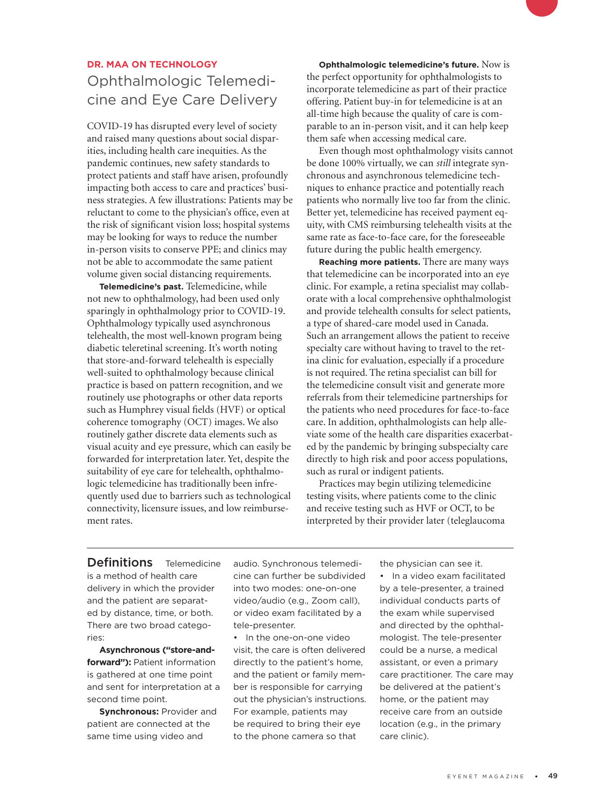# **DR. MAA ON TECHNOLOGY**  Ophthalmologic Telemedicine and Eye Care Delivery

COVID-19 has disrupted every level of society and raised many questions about social disparities, including health care inequities. As the pandemic continues, new safety standards to protect patients and staff have arisen, profoundly impacting both access to care and practices' business strategies. A few illustrations: Patients may be reluctant to come to the physician's office, even at the risk of significant vision loss; hospital systems may be looking for ways to reduce the number in-person visits to conserve PPE; and clinics may not be able to accommodate the same patient volume given social distancing requirements.

**Telemedicine's past.** Telemedicine, while not new to ophthalmology, had been used only sparingly in ophthalmology prior to COVID-19. Ophthalmology typically used asynchronous telehealth, the most well-known program being diabetic teleretinal screening. It's worth noting that store-and-forward telehealth is especially well-suited to ophthalmology because clinical practice is based on pattern recognition, and we routinely use photographs or other data reports such as Humphrey visual fields (HVF) or optical coherence tomography (OCT) images. We also routinely gather discrete data elements such as visual acuity and eye pressure, which can easily be forwarded for interpretation later. Yet, despite the suitability of eye care for telehealth, ophthalmologic telemedicine has traditionally been infrequently used due to barriers such as technological connectivity, licensure issues, and low reimbursement rates.

**Ophthalmologic telemedicine's future.** Now is the perfect opportunity for ophthalmologists to incorporate telemedicine as part of their practice offering. Patient buy-in for telemedicine is at an all-time high because the quality of care is comparable to an in-person visit, and it can help keep them safe when accessing medical care.

Even though most ophthalmology visits cannot be done 100% virtually, we can *still* integrate synchronous and asynchronous telemedicine techniques to enhance practice and potentially reach patients who normally live too far from the clinic. Better yet, telemedicine has received payment equity, with CMS reimbursing telehealth visits at the same rate as face-to-face care, for the foreseeable future during the public health emergency.

**Reaching more patients.** There are many ways that telemedicine can be incorporated into an eye clinic. For example, a retina specialist may collaborate with a local comprehensive ophthalmologist and provide telehealth consults for select patients, a type of shared-care model used in Canada. Such an arrangement allows the patient to receive specialty care without having to travel to the retina clinic for evaluation, especially if a procedure is not required. The retina specialist can bill for the telemedicine consult visit and generate more referrals from their telemedicine partnerships for the patients who need procedures for face-to-face care. In addition, ophthalmologists can help alleviate some of the health care disparities exacerbated by the pandemic by bringing subspecialty care directly to high risk and poor access populations, such as rural or indigent patients.

Practices may begin utilizing telemedicine testing visits, where patients come to the clinic and receive testing such as HVF or OCT, to be interpreted by their provider later (teleglaucoma

Definitions Telemedicine is a method of health care delivery in which the provider and the patient are separated by distance, time, or both. There are two broad categories:

**Asynchronous ("store-andforward"):** Patient information is gathered at one time point and sent for interpretation at a second time point.

**Synchronous:** Provider and patient are connected at the same time using video and

audio. Synchronous telemedicine can further be subdivided into two modes: one-on-one video/audio (e.g., Zoom call), or video exam facilitated by a tele-presenter.

• In the one-on-one video visit, the care is often delivered directly to the patient's home, and the patient or family member is responsible for carrying out the physician's instructions. For example, patients may be required to bring their eye to the phone camera so that

the physician can see it.

• In a video exam facilitated by a tele-presenter, a trained individual conducts parts of the exam while supervised and directed by the ophthalmologist. The tele-presenter could be a nurse, a medical assistant, or even a primary care practitioner. The care may be delivered at the patient's home, or the patient may receive care from an outside location (e.g., in the primary care clinic).